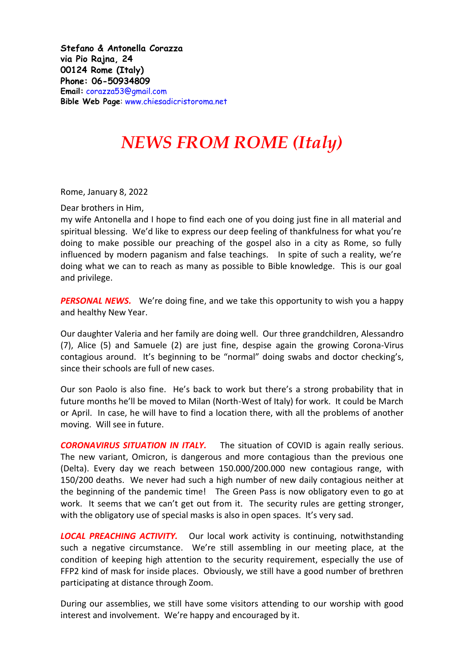**Stefano & Antonella Corazza via Pio Rajna, 24 00124 Rome (Italy) Phone: 06-50934809 Email:** [corazza53@gmail.com](mailto:corazza53@gmail.com) **Bible Web Page**: [www.chiesadicristoroma.net](http://www.chiesadicristoroma.net/)

## *NEWS FROM ROME (Italy)*

Rome, January 8, 2022

Dear brothers in Him,

my wife Antonella and I hope to find each one of you doing just fine in all material and spiritual blessing. We'd like to express our deep feeling of thankfulness for what you're doing to make possible our preaching of the gospel also in a city as Rome, so fully influenced by modern paganism and false teachings. In spite of such a reality, we're doing what we can to reach as many as possible to Bible knowledge. This is our goal and privilege.

**PERSONAL NEWS.** We're doing fine, and we take this opportunity to wish you a happy and healthy New Year.

Our daughter Valeria and her family are doing well. Our three grandchildren, Alessandro (7), Alice (5) and Samuele (2) are just fine, despise again the growing Corona-Virus contagious around. It's beginning to be "normal" doing swabs and doctor checking's, since their schools are full of new cases.

Our son Paolo is also fine. He's back to work but there's a strong probability that in future months he'll be moved to Milan (North-West of Italy) for work. It could be March or April. In case, he will have to find a location there, with all the problems of another moving. Will see in future.

**CORONAVIRUS SITUATION IN ITALY.** The situation of COVID is again really serious. The new variant, Omicron, is dangerous and more contagious than the previous one (Delta). Every day we reach between 150.000/200.000 new contagious range, with 150/200 deaths. We never had such a high number of new daily contagious neither at the beginning of the pandemic time! The Green Pass is now obligatory even to go at work. It seems that we can't get out from it. The security rules are getting stronger, with the obligatory use of special masks is also in open spaces. It's very sad.

**LOCAL PREACHING ACTIVITY.** Our local work activity is continuing, notwithstanding such a negative circumstance. We're still assembling in our meeting place, at the condition of keeping high attention to the security requirement, especially the use of FFP2 kind of mask for inside places. Obviously, we still have a good number of brethren participating at distance through Zoom.

During our assemblies, we still have some visitors attending to our worship with good interest and involvement. We're happy and encouraged by it.